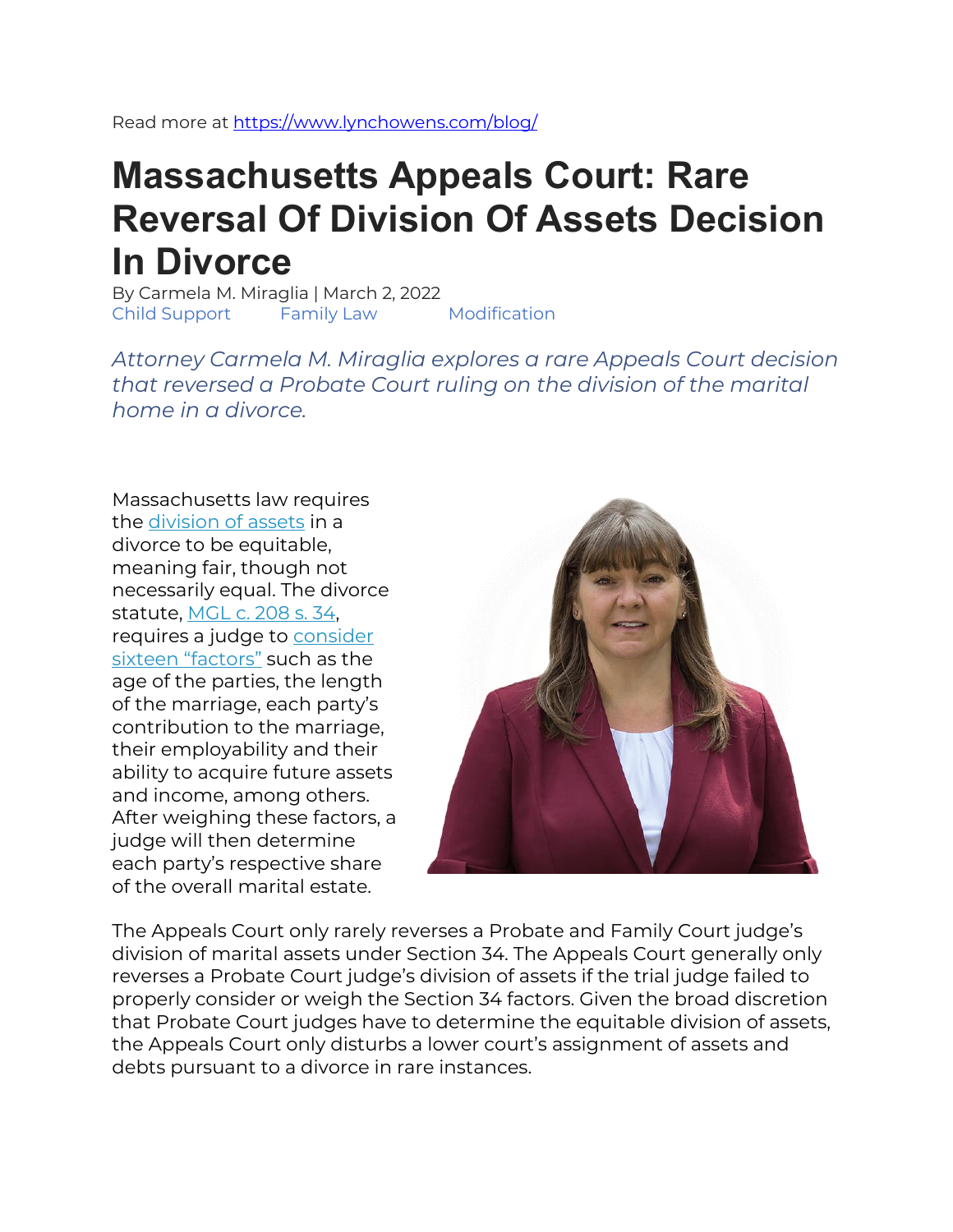Read more at<https://www.lynchowens.com/blog/>

# **Massachusetts Appeals Court: Rare Reversal Of Division Of Assets Decision In Divorce**

By Carmela M. Miraglia | March 2, 2022 Child Support Family Law Modification

*Attorney Carmela M. Miraglia explores a rare Appeals Court decision that reversed a Probate Court ruling on the division of the marital home in a divorce.*

Massachusetts law requires the [division of assets](https://www.lynchowens.com/blog/2015/november/a-review-of-the-division-of-assets-pursuant-to-m/) in a divorce to be equitable, meaning fair, though not necessarily equal. The divorce statute, [MGL c. 208 s. 34,](https://malegislature.gov/laws/generallaws/partii/titleiii/chapter208/section34) requires a judge to [consider](https://www.lynchowens.com/blog/2015/november/a-review-of-the-division-of-assets-pursuant-to-m/)  [sixteen "factors"](https://www.lynchowens.com/blog/2015/november/a-review-of-the-division-of-assets-pursuant-to-m/) such as the age of the parties, the length of the marriage, each party's contribution to the marriage, their employability and their ability to acquire future assets and income, among others. After weighing these factors, a judge will then determine each party's respective share of the overall marital estate.



The Appeals Court only rarely reverses a Probate and Family Court judge's division of marital assets under Section 34. The Appeals Court generally only reverses a Probate Court judge's division of assets if the trial judge failed to properly consider or weigh the Section 34 factors. Given the broad discretion that Probate Court judges have to determine the equitable division of assets, the Appeals Court only disturbs a lower court's assignment of assets and debts pursuant to a divorce in rare instances.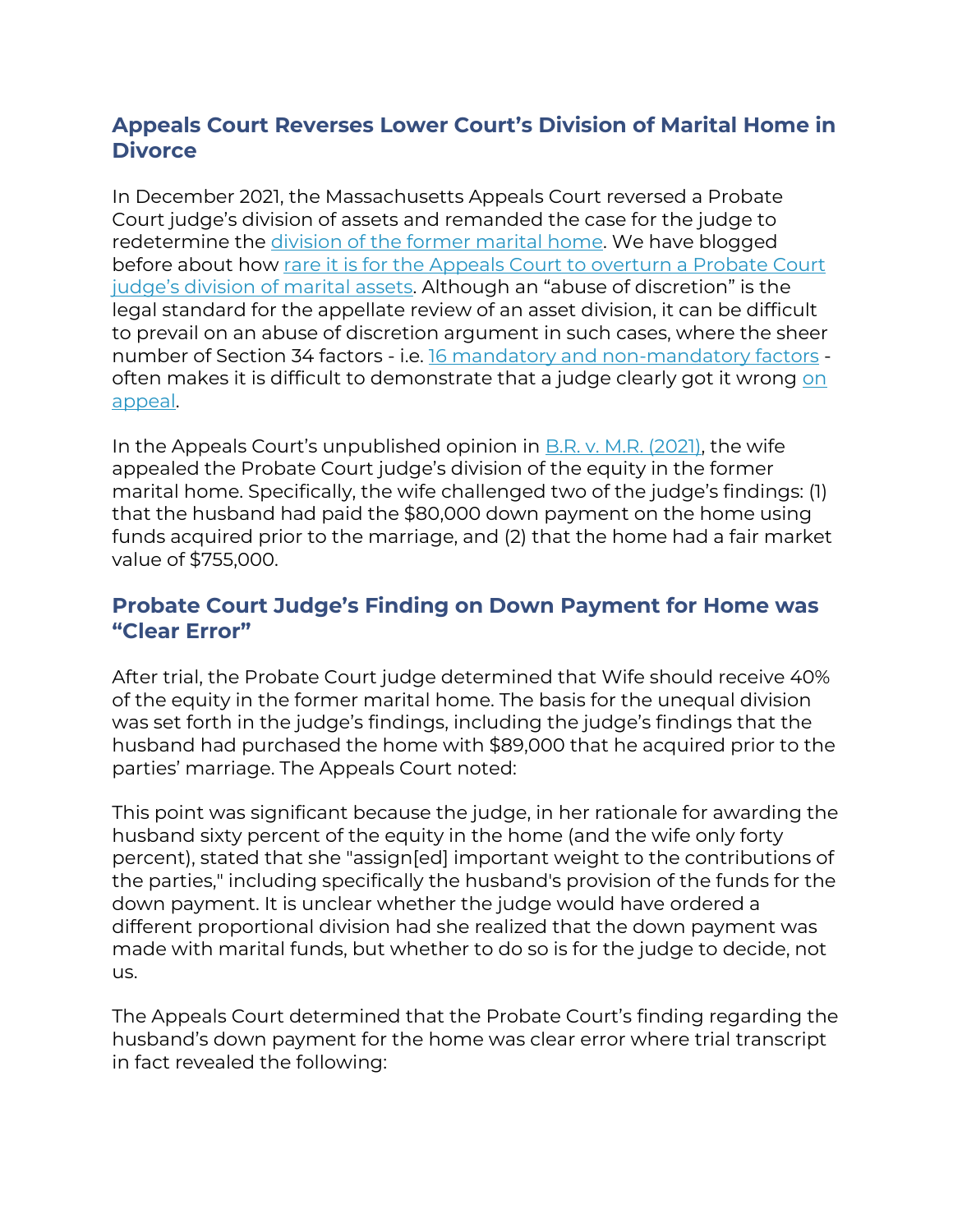# **Appeals Court Reverses Lower Court's Division of Marital Home in Divorce**

In December 2021, the Massachusetts Appeals Court reversed a Probate Court judge's division of assets and remanded the case for the judge to redetermine the [division of the former marital home.](https://www.lynchowens.com/blog/2019/october/can-i-keep-the-marital-home-in-my-divorce-/) We have blogged before about how [rare it is for the Appeals Court to overturn a Probate Court](https://www.lynchowens.com/blog/2016/march/obara-v-ghoreisha-2016-a-rare-massachusetts-appe/)  [judge's division of marital assets.](https://www.lynchowens.com/blog/2016/march/obara-v-ghoreisha-2016-a-rare-massachusetts-appe/) Although an "abuse of discretion" is the legal standard for the appellate review of an asset division, it can be difficult to prevail on an abuse of discretion argument in such cases, where the sheer number of Section 34 factors - i.e. [16 mandatory and non-mandatory factors](https://www.lynchowens.com/blog/2015/november/a-review-of-the-division-of-assets-pursuant-to-m/) often makes it is difficult to demonstrate that a judge clearly got it wrong on [appeal.](https://www.lynchowens.com/divorce-family-law/appeals/)

In the Appeals Court's unpublished opinion in [B.R. v. M.R. \(2021\),](https://scholar.google.com/scholar_case?case=18323785832714441140&q=B.R.+v.+M.R.+&hl=en&as_sdt=4,22) the wife appealed the Probate Court judge's division of the equity in the former marital home. Specifically, the wife challenged two of the judge's findings: (1) that the husband had paid the \$80,000 down payment on the home using funds acquired prior to the marriage, and (2) that the home had a fair market value of \$755,000.

#### **Probate Court Judge's Finding on Down Payment for Home was "Clear Error"**

After trial, the Probate Court judge determined that Wife should receive 40% of the equity in the former marital home. The basis for the unequal division was set forth in the judge's findings, including the judge's findings that the husband had purchased the home with \$89,000 that he acquired prior to the parties' marriage. The Appeals Court noted:

This point was significant because the judge, in her rationale for awarding the husband sixty percent of the equity in the home (and the wife only forty percent), stated that she "assign[ed] important weight to the contributions of the parties," including specifically the husband's provision of the funds for the down payment. It is unclear whether the judge would have ordered a different proportional division had she realized that the down payment was made with marital funds, but whether to do so is for the judge to decide, not us.

The Appeals Court determined that the Probate Court's finding regarding the husband's down payment for the home was clear error where trial transcript in fact revealed the following: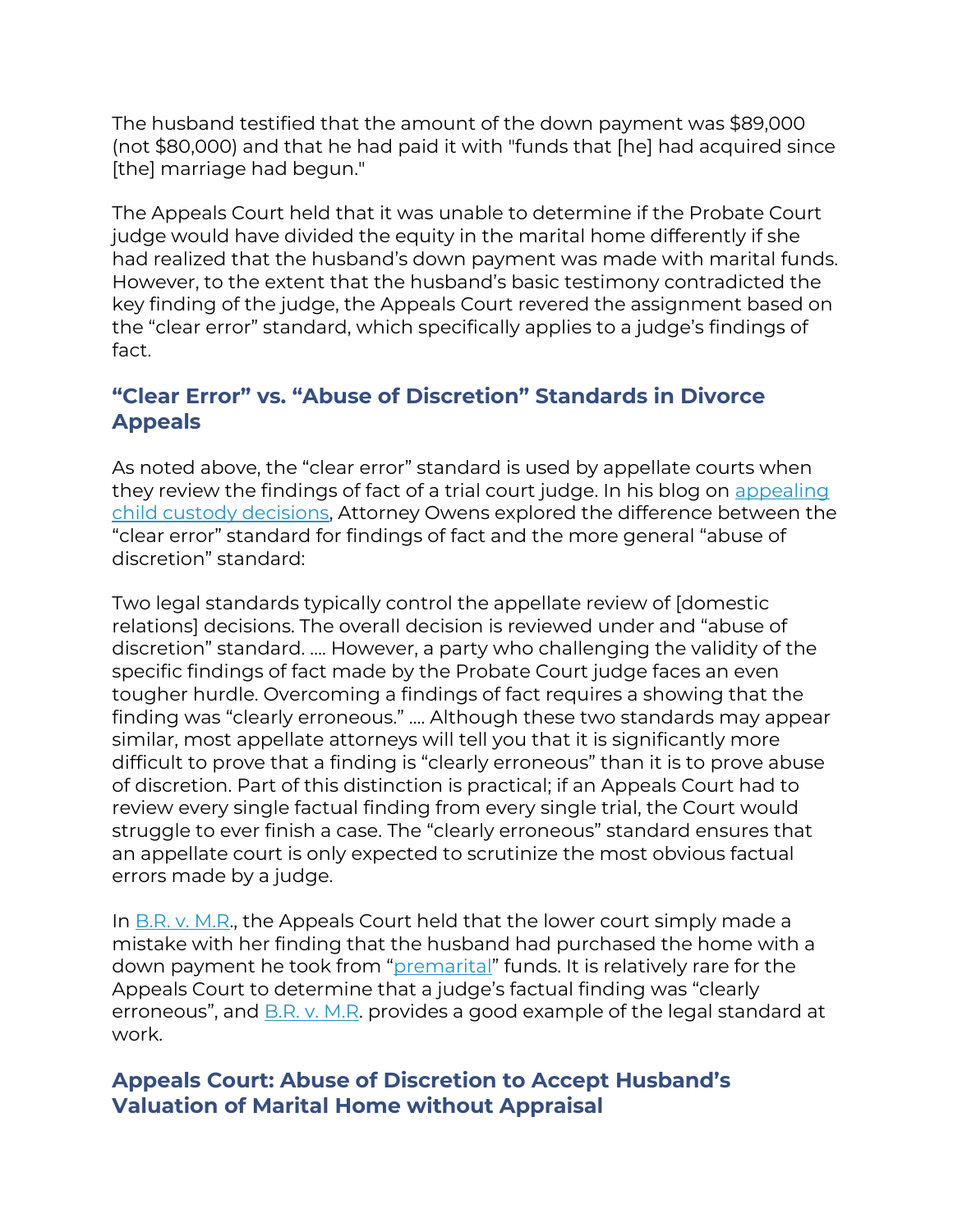The husband testified that the amount of the down payment was \$89,000 (not \$80,000) and that he had paid it with "funds that [he] had acquired since [the] marriage had begun."

The Appeals Court held that it was unable to determine if the Probate Court judge would have divided the equity in the marital home differently if she had realized that the husband's down payment was made with marital funds. However, to the extent that the husband's basic testimony contradicted the key finding of the judge, the Appeals Court revered the assignment based on the "clear error" standard, which specifically applies to a judge's findings of fact.

# **"Clear Error" vs. "Abuse of Discretion" Standards in Divorce Appeals**

As noted above, the "clear error" standard is used by appellate courts when they review the findings of fact of a trial court judge. In his blog on [appealing](https://www.lynchowens.com/blog/2021/december/appealing-child-custody-decisions-in-massachuset/)  [child custody decisions,](https://www.lynchowens.com/blog/2021/december/appealing-child-custody-decisions-in-massachuset/) Attorney Owens explored the difference between the "clear error" standard for findings of fact and the more general "abuse of discretion" standard:

Two legal standards typically control the appellate review of [domestic relations] decisions. The overall decision is reviewed under and "abuse of discretion" standard. …. However, a party who challenging the validity of the specific findings of fact made by the Probate Court judge faces an even tougher hurdle. Overcoming a findings of fact requires a showing that the finding was "clearly erroneous." …. Although these two standards may appear similar, most appellate attorneys will tell you that it is significantly more difficult to prove that a finding is "clearly erroneous" than it is to prove abuse of discretion. Part of this distinction is practical; if an Appeals Court had to review every single factual finding from every single trial, the Court would struggle to ever finish a case. The "clearly erroneous" standard ensures that an appellate court is only expected to scrutinize the most obvious factual errors made by a judge.

In  $B.R. v. M.R.$ , the Appeals Court held that the lower court simply made a mistake with her finding that the husband had purchased the home with a down payment he took from "[premarital](https://www.lynchowens.com/blog/2018/may/cohabitating-before-marriage-can-increase-alimon/)" funds. It is relatively rare for the Appeals Court to determine that a judge's factual finding was "clearly erroneous", and [B.R. v. M.R.](https://scholar.google.com/scholar_case?case=18323785832714441140&q=B.R.+v.+M.R.+&hl=en&as_sdt=4,22) provides a good example of the legal standard at work.

## **Appeals Court: Abuse of Discretion to Accept Husband's Valuation of Marital Home without Appraisal**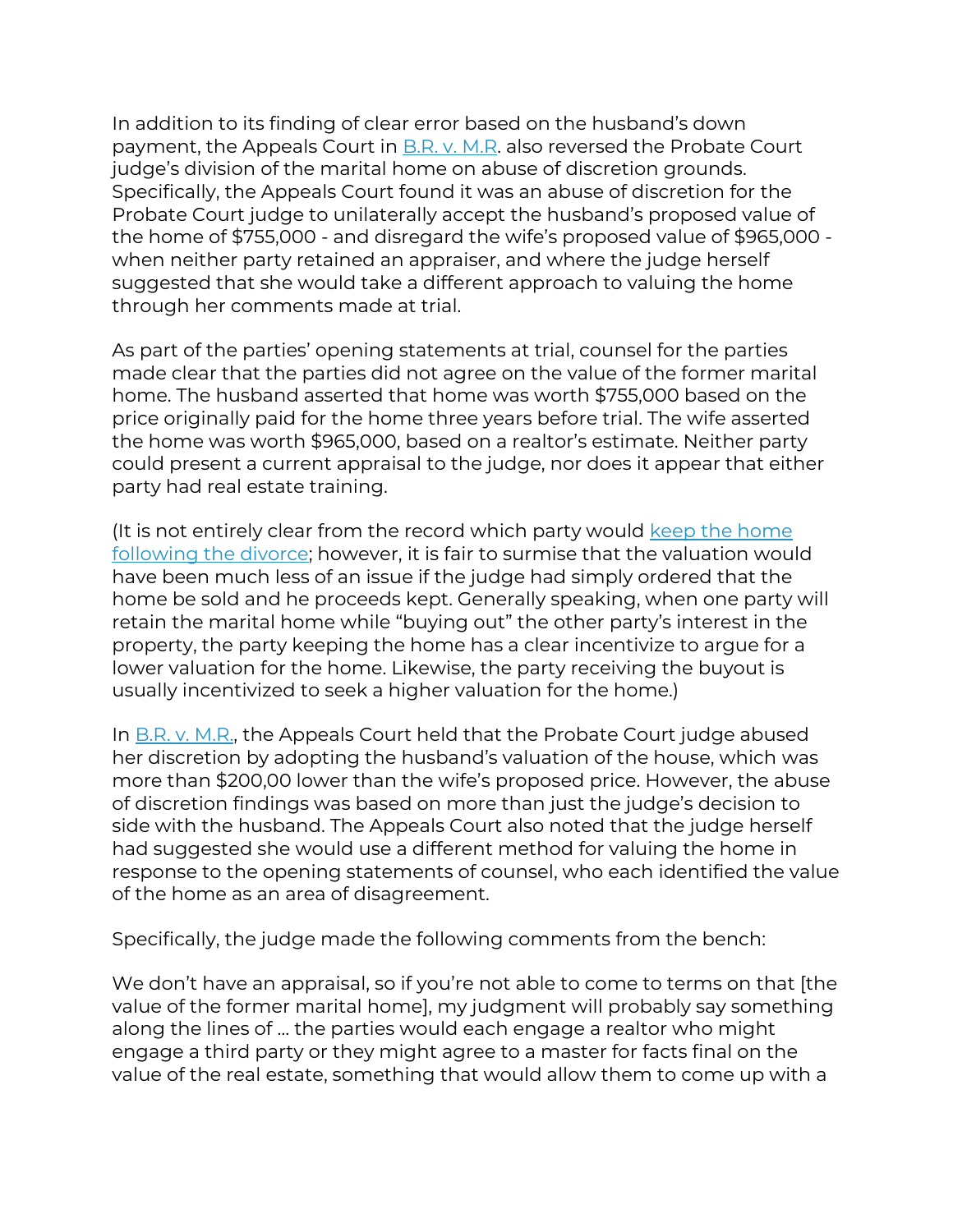In addition to its finding of clear error based on the husband's down payment, the Appeals Court in [B.R. v. M.R.](https://scholar.google.com/scholar_case?case=18323785832714441140&q=B.R.+v.+M.R.+&hl=en&as_sdt=4,22) also reversed the Probate Court judge's division of the marital home on abuse of discretion grounds. Specifically, the Appeals Court found it was an abuse of discretion for the Probate Court judge to unilaterally accept the husband's proposed value of the home of \$755,000 - and disregard the wife's proposed value of \$965,000 when neither party retained an appraiser, and where the judge herself suggested that she would take a different approach to valuing the home through her comments made at trial.

As part of the parties' opening statements at trial, counsel for the parties made clear that the parties did not agree on the value of the former marital home. The husband asserted that home was worth \$755,000 based on the price originally paid for the home three years before trial. The wife asserted the home was worth \$965,000, based on a realtor's estimate. Neither party could present a current appraisal to the judge, nor does it appear that either party had real estate training.

(It is not entirely clear from the record which party would [keep the home](https://www.lynchowens.com/blog/2019/october/can-i-keep-the-marital-home-in-my-divorce-/)  [following the divorce;](https://www.lynchowens.com/blog/2019/october/can-i-keep-the-marital-home-in-my-divorce-/) however, it is fair to surmise that the valuation would have been much less of an issue if the judge had simply ordered that the home be sold and he proceeds kept. Generally speaking, when one party will retain the marital home while "buying out" the other party's interest in the property, the party keeping the home has a clear incentivize to argue for a lower valuation for the home. Likewise, the party receiving the buyout is usually incentivized to seek a higher valuation for the home.)

In [B.R. v. M.R.,](https://scholar.google.com/scholar_case?case=18323785832714441140&q=B.R.+v.+M.R.+&hl=en&as_sdt=4,22) the Appeals Court held that the Probate Court judge abused her discretion by adopting the husband's valuation of the house, which was more than \$200,00 lower than the wife's proposed price. However, the abuse of discretion findings was based on more than just the judge's decision to side with the husband. The Appeals Court also noted that the judge herself had suggested she would use a different method for valuing the home in response to the opening statements of counsel, who each identified the value of the home as an area of disagreement.

Specifically, the judge made the following comments from the bench:

We don't have an appraisal, so if you're not able to come to terms on that [the value of the former marital home], my judgment will probably say something along the lines of … the parties would each engage a realtor who might engage a third party or they might agree to a master for facts final on the value of the real estate, something that would allow them to come up with a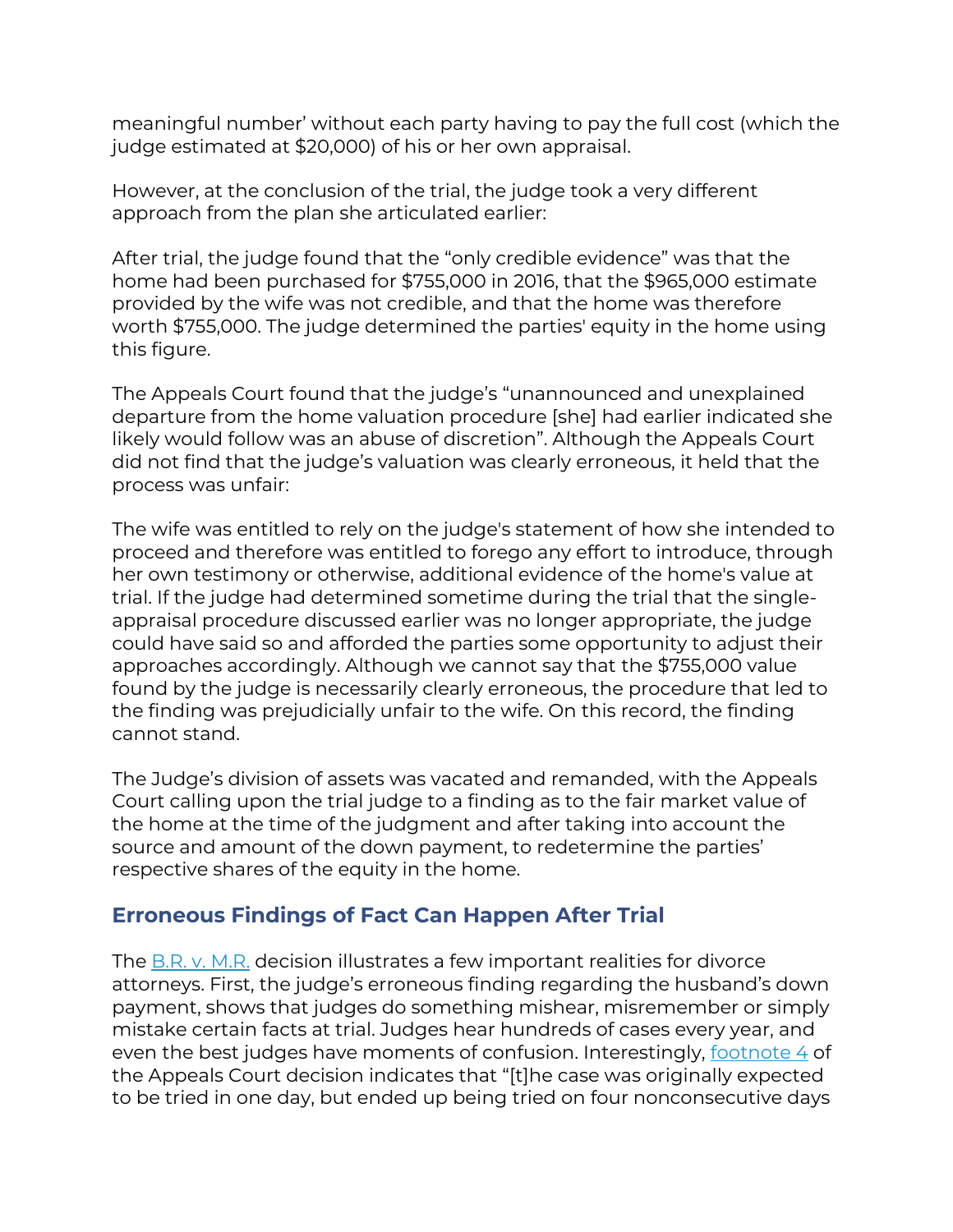meaningful number' without each party having to pay the full cost (which the judge estimated at \$20,000) of his or her own appraisal.

However, at the conclusion of the trial, the judge took a very different approach from the plan she articulated earlier:

After trial, the judge found that the "only credible evidence" was that the home had been purchased for \$755,000 in 2016, that the \$965,000 estimate provided by the wife was not credible, and that the home was therefore worth \$755,000. The judge determined the parties' equity in the home using this figure.

The Appeals Court found that the judge's "unannounced and unexplained departure from the home valuation procedure [she] had earlier indicated she likely would follow was an abuse of discretion". Although the Appeals Court did not find that the judge's valuation was clearly erroneous, it held that the process was unfair:

The wife was entitled to rely on the judge's statement of how she intended to proceed and therefore was entitled to forego any effort to introduce, through her own testimony or otherwise, additional evidence of the home's value at trial. If the judge had determined sometime during the trial that the singleappraisal procedure discussed earlier was no longer appropriate, the judge could have said so and afforded the parties some opportunity to adjust their approaches accordingly. Although we cannot say that the \$755,000 value found by the judge is necessarily clearly erroneous, the procedure that led to the finding was prejudicially unfair to the wife. On this record, the finding cannot stand.

The Judge's division of assets was vacated and remanded, with the Appeals Court calling upon the trial judge to a finding as to the fair market value of the home at the time of the judgment and after taking into account the source and amount of the down payment, to redetermine the parties' respective shares of the equity in the home.

#### **Erroneous Findings of Fact Can Happen After Trial**

The [B.R. v. M.R.](https://scholar.google.com/scholar_case?case=18323785832714441140&q=B.R.+v.+M.R.+&hl=en&as_sdt=4,22) decision illustrates a few important realities for divorce attorneys. First, the judge's erroneous finding regarding the husband's down payment, shows that judges do something mishear, misremember or simply mistake certain facts at trial. Judges hear hundreds of cases every year, and even the best judges have moments of confusion. Interestingly, [footnote 4](https://scholar.google.com/scholar_case?case=18323785832714441140&q=B.R.+v.+M.R.+&hl=en&as_sdt=4,22#[5]) of the Appeals Court decision indicates that "[t]he case was originally expected to be tried in one day, but ended up being tried on four nonconsecutive days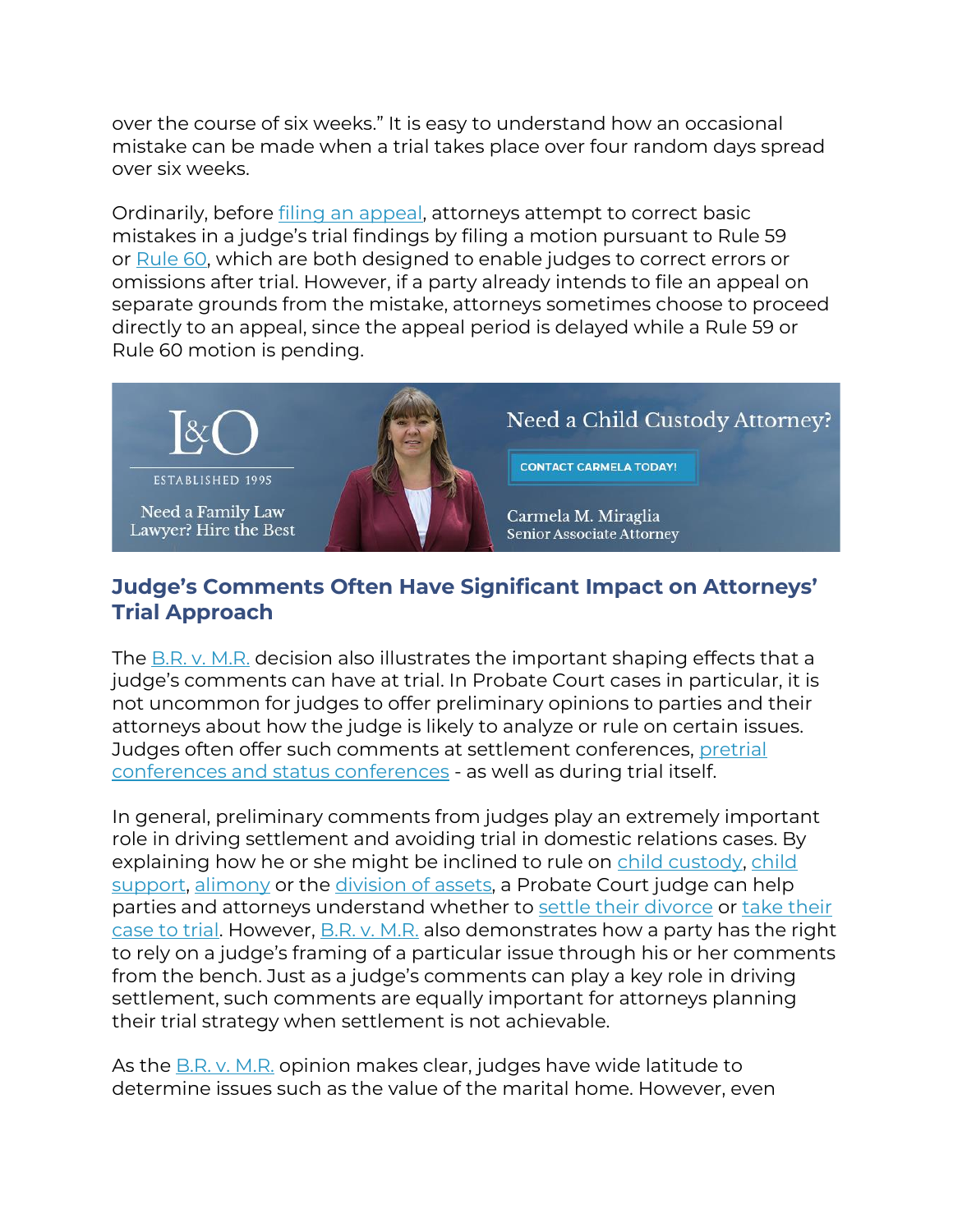over the course of six weeks." It is easy to understand how an occasional mistake can be made when a trial takes place over four random days spread over six weeks.

Ordinarily, before [filing an appeal,](https://www.lynchowens.com/divorce-family-law/appeals/) attorneys attempt to correct basic mistakes in a judge's trial findings by filing a motion pursuant to Rule 59 or [Rule 60,](https://www.lynchowens.com/blog/2015/october/what-happens-when-a-former-spouse-discovers-an-u/) which are both designed to enable judges to correct errors or omissions after trial. However, if a party already intends to file an appeal on separate grounds from the mistake, attorneys sometimes choose to proceed directly to an appeal, since the appeal period is delayed while a Rule 59 or Rule 60 motion is pending.



# **Judge's Comments Often Have Significant Impact on Attorneys' Trial Approach**

The [B.R. v. M.R.](https://scholar.google.com/scholar_case?case=18323785832714441140&q=B.R.+v.+M.R.+&hl=en&as_sdt=4,22) decision also illustrates the important shaping effects that a judge's comments can have at trial. In Probate Court cases in particular, it is not uncommon for judges to offer preliminary opinions to parties and their attorneys about how the judge is likely to analyze or rule on certain issues. Judges often offer such comments at settlement conferences, [pretrial](https://www.lynchowens.com/blog/2016/march/lynch-owens-divorce-series-step-8-pretrial-confe/)  [conferences and status conferences](https://www.lynchowens.com/blog/2016/march/lynch-owens-divorce-series-step-8-pretrial-confe/) - as well as during trial itself.

In general, preliminary comments from judges play an extremely important role in driving settlement and avoiding trial in domestic relations cases. By explaining how he or she might be inclined to rule on [child custody,](https://www.lynchowens.com/divorce-family-law/child-custody/) child [support,](https://www.lynchowens.com/divorce-family-law/child-support/) [alimony](https://www.lynchowens.com/divorce-family-law/alimony/) or the [division of assets,](https://www.lynchowens.com/divorce-family-law/division-of-assets/) a Probate Court judge can help parties and attorneys understand whether to [settle their divorce](https://www.lynchowens.com/blog/2016/april/lynch-owens-divorce-series-step-9-divorce-negoti/) or take their [case to trial.](https://www.lynchowens.com/blog/2016/april/lynch-owens-divorce-series-step-10-divorce-trial/) However, [B.R. v. M.R.](https://scholar.google.com/scholar_case?case=18323785832714441140&q=B.R.+v.+M.R.+&hl=en&as_sdt=4,22) also demonstrates how a party has the right to rely on a judge's framing of a particular issue through his or her comments from the bench. Just as a judge's comments can play a key role in driving settlement, such comments are equally important for attorneys planning their trial strategy when settlement is not achievable.

As the **[B.R. v. M.R.](https://scholar.google.com/scholar_case?case=18323785832714441140&q=B.R.+v.+M.R.+&hl=en&as_sdt=4,22)** opinion makes clear, judges have wide latitude to determine issues such as the value of the marital home. However, even